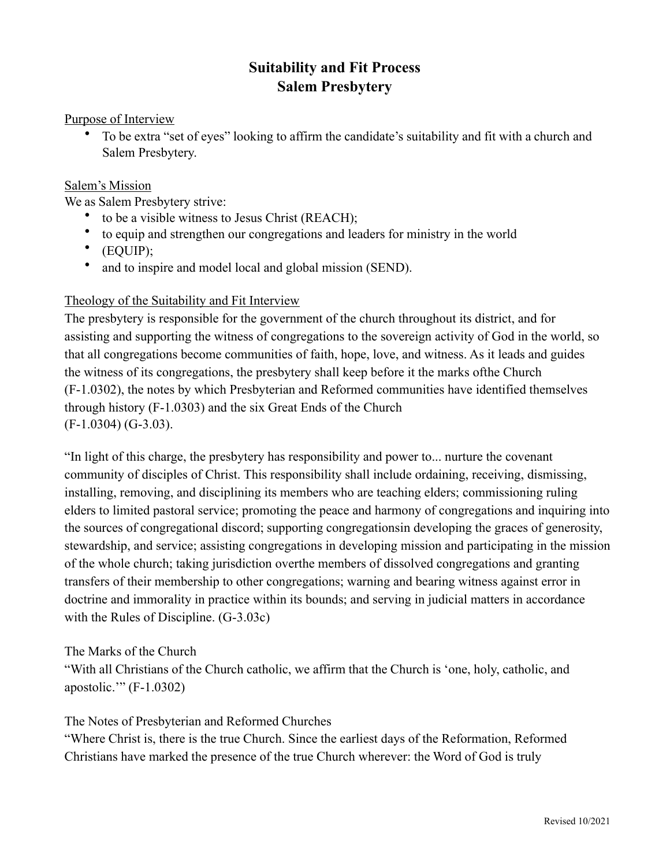# **Suitability and Fit Process Salem Presbytery**

#### Purpose of Interview

• To be extra "set of eyes" looking to affirm the candidate's suitability and fit with a church and Salem Presbytery.

#### Salem's Mission

We as Salem Presbytery strive:

- to be a visible witness to Jesus Christ (REACH);
- to equip and strengthen our congregations and leaders for ministry in the world
- (EQUIP);
- and to inspire and model local and global mission (SEND).

## Theology of the Suitability and Fit Interview

The presbytery is responsible for the government of the church throughout its district, and for assisting and supporting the witness of congregations to the sovereign activity of God in the world, so that all congregations become communities of faith, hope, love, and witness. As it leads and guides the witness of its congregations, the presbytery shall keep before it the marks ofthe Church (F-1.0302), the notes by which Presbyterian and Reformed communities have identified themselves through history (F-1.0303) and the six Great Ends of the Church (F-1.0304) (G-3.03).

"In light of this charge, the presbytery has responsibility and power to... nurture the covenant community of disciples of Christ. This responsibility shall include ordaining, receiving, dismissing, installing, removing, and disciplining its members who are teaching elders; commissioning ruling elders to limited pastoral service; promoting the peace and harmony of congregations and inquiring into the sources of congregational discord; supporting congregationsin developing the graces of generosity, stewardship, and service; assisting congregations in developing mission and participating in the mission of the whole church; taking jurisdiction overthe members of dissolved congregations and granting transfers of their membership to other congregations; warning and bearing witness against error in doctrine and immorality in practice within its bounds; and serving in judicial matters in accordance with the Rules of Discipline. (G-3.03c)

#### The Marks of the Church

"With all Christians of the Church catholic, we affirm that the Church is 'one, holy, catholic, and apostolic.'" (F-1.0302)

#### The Notes of Presbyterian and Reformed Churches

"Where Christ is, there is the true Church. Since the earliest days of the Reformation, Reformed Christians have marked the presence of the true Church wherever: the Word of God is truly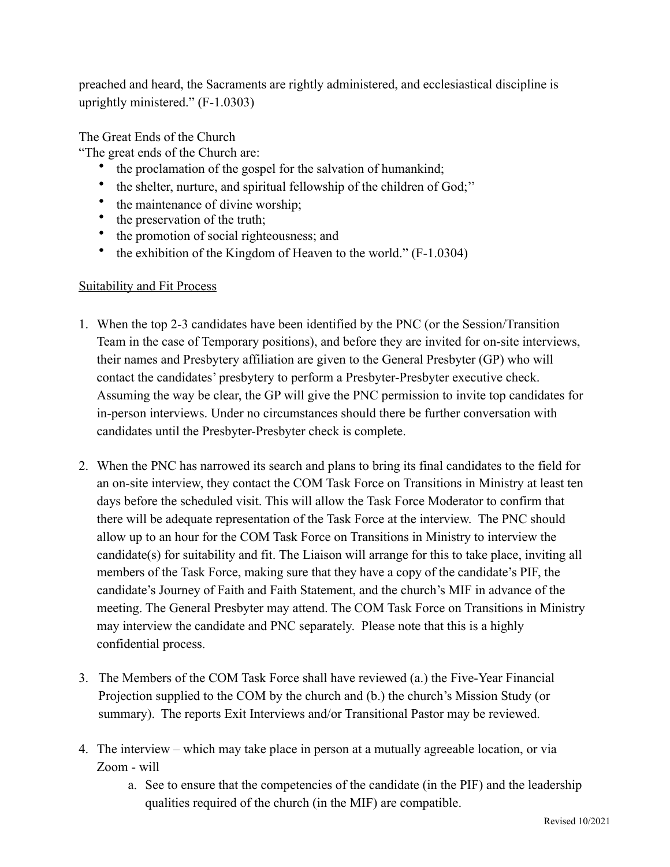preached and heard, the Sacraments are rightly administered, and ecclesiastical discipline is uprightly ministered." (F-1.0303)

The Great Ends of the Church

"The great ends of the Church are:

- the proclamation of the gospel for the salvation of humankind;
- the shelter, nurture, and spiritual fellowship of the children of God;''
- the maintenance of divine worship;<br>• the preservation of the truth:
- the preservation of the truth;
- the promotion of social righteousness; and
- the exhibition of the Kingdom of Heaven to the world." (F-1.0304)

### Suitability and Fit Process

- 1. When the top 2-3 candidates have been identified by the PNC (or the Session/Transition Team in the case of Temporary positions), and before they are invited for on-site interviews, their names and Presbytery affiliation are given to the General Presbyter (GP) who will contact the candidates' presbytery to perform a Presbyter-Presbyter executive check. Assuming the way be clear, the GP will give the PNC permission to invite top candidates for in-person interviews. Under no circumstances should there be further conversation with candidates until the Presbyter-Presbyter check is complete.
- 2. When the PNC has narrowed its search and plans to bring its final candidates to the field for an on-site interview, they contact the COM Task Force on Transitions in Ministry at least ten days before the scheduled visit. This will allow the Task Force Moderator to confirm that there will be adequate representation of the Task Force at the interview. The PNC should allow up to an hour for the COM Task Force on Transitions in Ministry to interview the candidate(s) for suitability and fit. The Liaison will arrange for this to take place, inviting all members of the Task Force, making sure that they have a copy of the candidate's PIF, the candidate's Journey of Faith and Faith Statement, and the church's MIF in advance of the meeting. The General Presbyter may attend. The COM Task Force on Transitions in Ministry may interview the candidate and PNC separately. Please note that this is a highly confidential process.
- 3. The Members of the COM Task Force shall have reviewed (a.) the Five-Year Financial Projection supplied to the COM by the church and (b.) the church's Mission Study (or summary). The reports Exit Interviews and/or Transitional Pastor may be reviewed.
- 4. The interview which may take place in person at a mutually agreeable location, or via Zoom - will
	- a. See to ensure that the competencies of the candidate (in the PIF) and the leadership qualities required of the church (in the MIF) are compatible.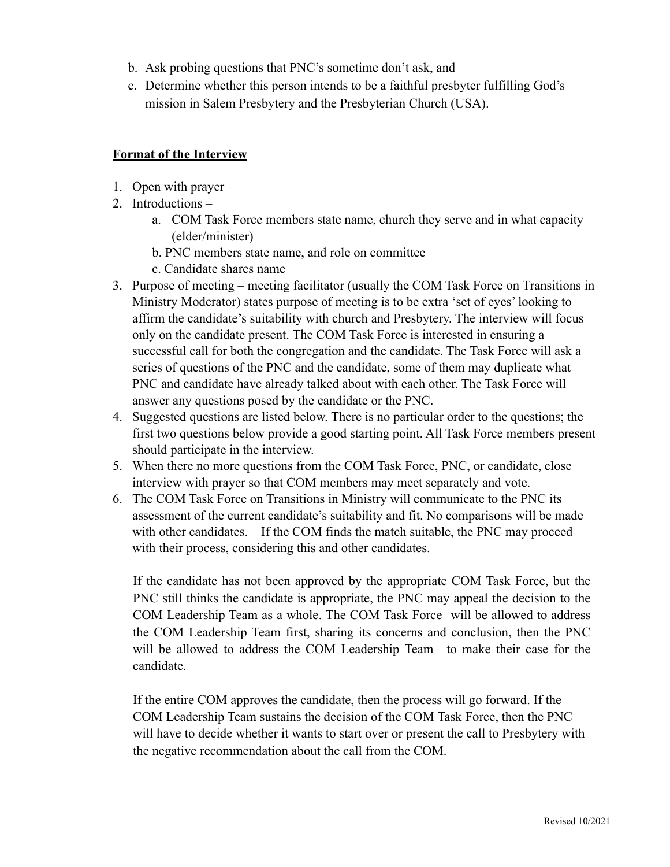- b. Ask probing questions that PNC's sometime don't ask, and
- c. Determine whether this person intends to be a faithful presbyter fulfilling God's mission in Salem Presbytery and the Presbyterian Church (USA).

#### **Format of the Interview**

- 1. Open with prayer
- 2. Introductions
	- a. COM Task Force members state name, church they serve and in what capacity (elder/minister)
	- b. PNC members state name, and role on committee
	- c. Candidate shares name
- 3. Purpose of meeting meeting facilitator (usually the COM Task Force on Transitions in Ministry Moderator) states purpose of meeting is to be extra 'set of eyes' looking to affirm the candidate's suitability with church and Presbytery. The interview will focus only on the candidate present. The COM Task Force is interested in ensuring a successful call for both the congregation and the candidate. The Task Force will ask a series of questions of the PNC and the candidate, some of them may duplicate what PNC and candidate have already talked about with each other. The Task Force will answer any questions posed by the candidate or the PNC.
- 4. Suggested questions are listed below. There is no particular order to the questions; the first two questions below provide a good starting point. All Task Force members present should participate in the interview.
- 5. When there no more questions from the COM Task Force, PNC, or candidate, close interview with prayer so that COM members may meet separately and vote.
- 6. The COM Task Force on Transitions in Ministry will communicate to the PNC its assessment of the current candidate's suitability and fit. No comparisons will be made with other candidates. If the COM finds the match suitable, the PNC may proceed with their process, considering this and other candidates.

If the candidate has not been approved by the appropriate COM Task Force, but the PNC still thinks the candidate is appropriate, the PNC may appeal the decision to the COM Leadership Team as a whole. The COM Task Force will be allowed to address the COM Leadership Team first, sharing its concerns and conclusion, then the PNC will be allowed to address the COM Leadership Team to make their case for the candidate.

If the entire COM approves the candidate, then the process will go forward. If the COM Leadership Team sustains the decision of the COM Task Force, then the PNC will have to decide whether it wants to start over or present the call to Presbytery with the negative recommendation about the call from the COM.